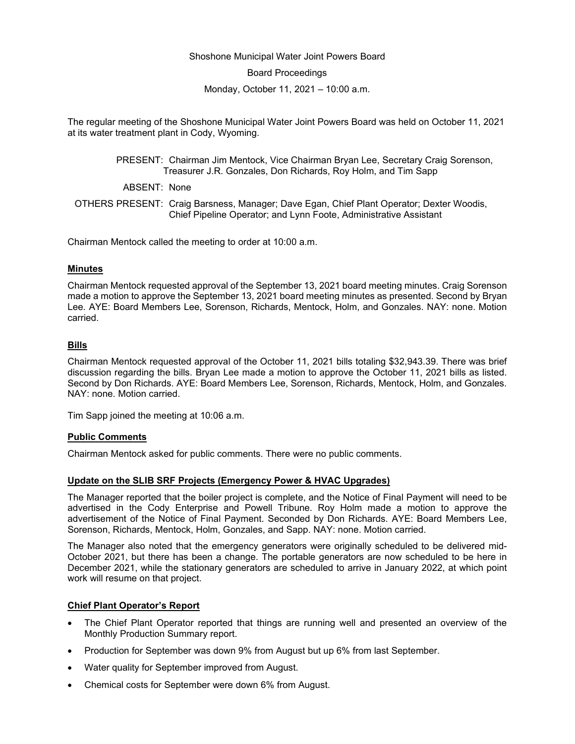## Shoshone Municipal Water Joint Powers Board

Board Proceedings

Monday, October 11, 2021 – 10:00 a.m.

The regular meeting of the Shoshone Municipal Water Joint Powers Board was held on October 11, 2021 at its water treatment plant in Cody, Wyoming.

> PRESENT: Chairman Jim Mentock, Vice Chairman Bryan Lee, Secretary Craig Sorenson, Treasurer J.R. Gonzales, Don Richards, Roy Holm, and Tim Sapp

ABSENT: None

OTHERS PRESENT: Craig Barsness, Manager; Dave Egan, Chief Plant Operator; Dexter Woodis, Chief Pipeline Operator; and Lynn Foote, Administrative Assistant

Chairman Mentock called the meeting to order at 10:00 a.m.

## **Minutes**

Chairman Mentock requested approval of the September 13, 2021 board meeting minutes. Craig Sorenson made a motion to approve the September 13, 2021 board meeting minutes as presented. Second by Bryan Lee. AYE: Board Members Lee, Sorenson, Richards, Mentock, Holm, and Gonzales. NAY: none. Motion carried.

# **Bills**

Chairman Mentock requested approval of the October 11, 2021 bills totaling \$32,943.39. There was brief discussion regarding the bills. Bryan Lee made a motion to approve the October 11, 2021 bills as listed. Second by Don Richards. AYE: Board Members Lee, Sorenson, Richards, Mentock, Holm, and Gonzales. NAY: none. Motion carried.

Tim Sapp joined the meeting at 10:06 a.m.

## **Public Comments**

Chairman Mentock asked for public comments. There were no public comments.

## **Update on the SLIB SRF Projects (Emergency Power & HVAC Upgrades)**

The Manager reported that the boiler project is complete, and the Notice of Final Payment will need to be advertised in the Cody Enterprise and Powell Tribune. Roy Holm made a motion to approve the advertisement of the Notice of Final Payment. Seconded by Don Richards. AYE: Board Members Lee, Sorenson, Richards, Mentock, Holm, Gonzales, and Sapp. NAY: none. Motion carried.

The Manager also noted that the emergency generators were originally scheduled to be delivered mid-October 2021, but there has been a change. The portable generators are now scheduled to be here in December 2021, while the stationary generators are scheduled to arrive in January 2022, at which point work will resume on that project.

## **Chief Plant Operator's Report**

- The Chief Plant Operator reported that things are running well and presented an overview of the Monthly Production Summary report.
- Production for September was down 9% from August but up 6% from last September.
- Water quality for September improved from August.
- Chemical costs for September were down 6% from August.